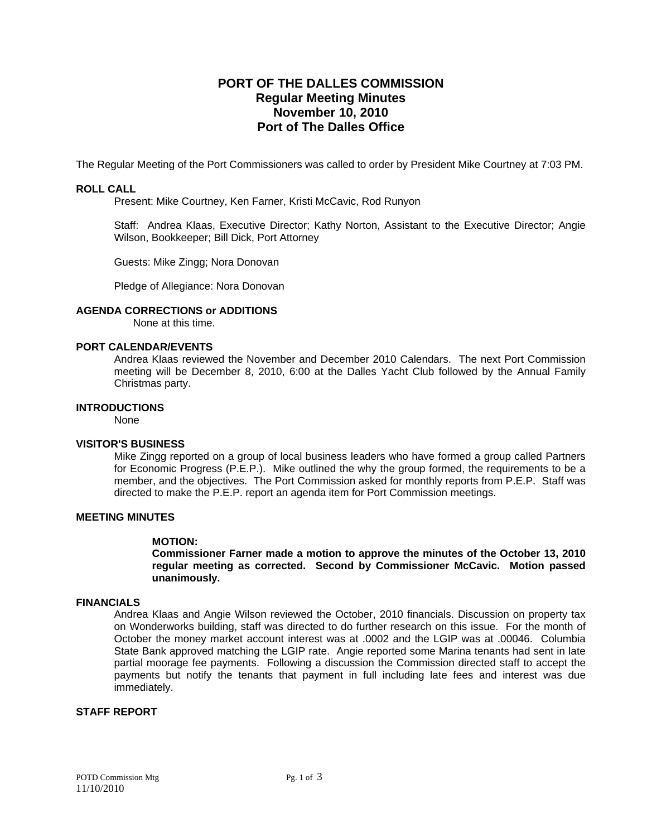# **PORT OF THE DALLES COMMISSION Regular Meeting Minutes November 10, 2010 Port of The Dalles Office**

The Regular Meeting of the Port Commissioners was called to order by President Mike Courtney at 7:03 PM.

## **ROLL CALL**

Present: Mike Courtney, Ken Farner, Kristi McCavic, Rod Runyon

Staff: Andrea Klaas, Executive Director; Kathy Norton, Assistant to the Executive Director; Angie Wilson, Bookkeeper; Bill Dick, Port Attorney

Guests: Mike Zingg; Nora Donovan

Pledge of Allegiance: Nora Donovan

#### **AGENDA CORRECTIONS or ADDITIONS**

None at this time.

#### **PORT CALENDAR/EVENTS**

Andrea Klaas reviewed the November and December 2010 Calendars. The next Port Commission meeting will be December 8, 2010, 6:00 at the Dalles Yacht Club followed by the Annual Family Christmas party.

# **INTRODUCTIONS**

None

### **VISITOR'S BUSINESS**

Mike Zingg reported on a group of local business leaders who have formed a group called Partners for Economic Progress (P.E.P.). Mike outlined the why the group formed, the requirements to be a member, and the objectives. The Port Commission asked for monthly reports from P.E.P. Staff was directed to make the P.E.P. report an agenda item for Port Commission meetings.

# **MEETING MINUTES**

### **MOTION:**

**Commissioner Farner made a motion to approve the minutes of the October 13, 2010 regular meeting as corrected. Second by Commissioner McCavic. Motion passed unanimously.** 

#### **FINANCIALS**

Andrea Klaas and Angie Wilson reviewed the October, 2010 financials. Discussion on property tax on Wonderworks building, staff was directed to do further research on this issue. For the month of October the money market account interest was at .0002 and the LGIP was at .00046. Columbia State Bank approved matching the LGIP rate. Angie reported some Marina tenants had sent in late partial moorage fee payments. Following a discussion the Commission directed staff to accept the payments but notify the tenants that payment in full including late fees and interest was due immediately.

### **STAFF REPORT**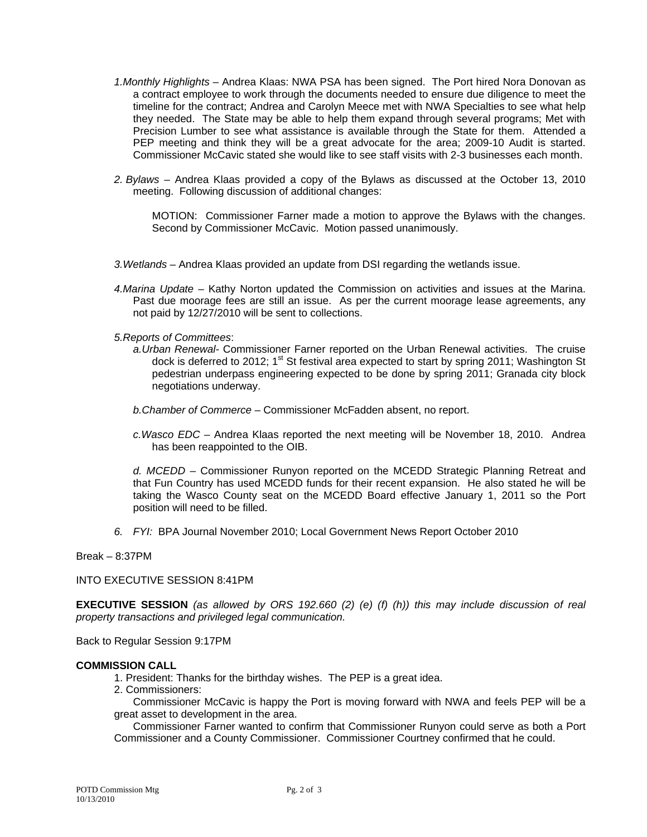- *1.Monthly Highlights* Andrea Klaas: NWA PSA has been signed. The Port hired Nora Donovan as a contract employee to work through the documents needed to ensure due diligence to meet the timeline for the contract; Andrea and Carolyn Meece met with NWA Specialties to see what help they needed. The State may be able to help them expand through several programs; Met with Precision Lumber to see what assistance is available through the State for them. Attended a PEP meeting and think they will be a great advocate for the area; 2009-10 Audit is started. Commissioner McCavic stated she would like to see staff visits with 2-3 businesses each month.
- *2. Bylaws* Andrea Klaas provided a copy of the Bylaws as discussed at the October 13, 2010 meeting. Following discussion of additional changes:

MOTION: Commissioner Farner made a motion to approve the Bylaws with the changes. Second by Commissioner McCavic. Motion passed unanimously.

- *3.Wetlands* Andrea Klaas provided an update from DSI regarding the wetlands issue.
- *4.Marina Update* Kathy Norton updated the Commission on activities and issues at the Marina. Past due moorage fees are still an issue. As per the current moorage lease agreements, any not paid by 12/27/2010 will be sent to collections.
- *5.Reports of Committees*:
	- *a.Urban Renewal-* Commissioner Farner reported on the Urban Renewal activities. The cruise dock is deferred to 2012; 1<sup>st</sup> St festival area expected to start by spring 2011; Washington St pedestrian underpass engineering expected to be done by spring 2011; Granada city block negotiations underway.
	- *b.Chamber of Commerce*  Commissioner McFadden absent, no report.
	- *c.Wasco EDC*  Andrea Klaas reported the next meeting will be November 18, 2010. Andrea has been reappointed to the OIB.

*d. MCEDD* – Commissioner Runyon reported on the MCEDD Strategic Planning Retreat and that Fun Country has used MCEDD funds for their recent expansion. He also stated he will be taking the Wasco County seat on the MCEDD Board effective January 1, 2011 so the Port position will need to be filled.

*6. FYI:* BPA Journal November 2010; Local Government News Report October 2010

Break – 8:37PM

INTO EXECUTIVE SESSION 8:41PM

**EXECUTIVE SESSION** *(as allowed by ORS 192.660 (2) (e) (f) (h)) this may include discussion of real property transactions and privileged legal communication.* 

Back to Regular Session 9:17PM

#### **COMMISSION CALL**

- 1. President: Thanks for the birthday wishes. The PEP is a great idea.
- 2. Commissioners:

 Commissioner McCavic is happy the Port is moving forward with NWA and feels PEP will be a great asset to development in the area.

 Commissioner Farner wanted to confirm that Commissioner Runyon could serve as both a Port Commissioner and a County Commissioner. Commissioner Courtney confirmed that he could.